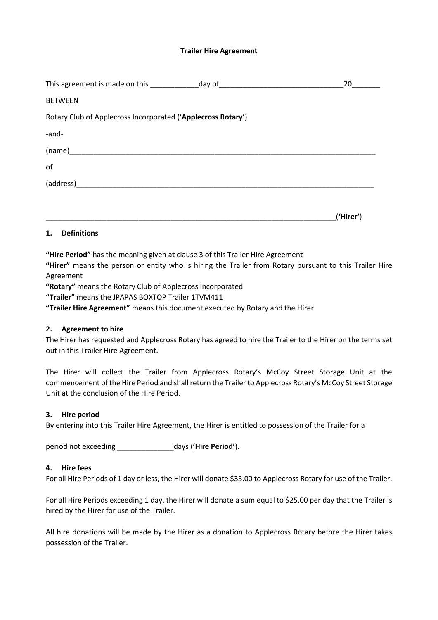## **Trailer Hire Agreement**

| This agreement is made on this ________________day of___________________________ | 20        |
|----------------------------------------------------------------------------------|-----------|
| <b>BETWEEN</b>                                                                   |           |
| Rotary Club of Applecross Incorporated ('Applecross Rotary')                     |           |
| -and-                                                                            |           |
|                                                                                  |           |
| of                                                                               |           |
|                                                                                  |           |
|                                                                                  |           |
|                                                                                  | ('Hirer') |
| <b>Definitions</b><br>1.                                                         |           |

**"Hire Period"** has the meaning given at clause 3 of this Trailer Hire Agreement

**"Hirer"** means the person or entity who is hiring the Trailer from Rotary pursuant to this Trailer Hire Agreement

**"Rotary"** means the Rotary Club of Applecross Incorporated

**"Trailer"** means the JPAPAS BOXTOP Trailer 1TVM411

**"Trailer Hire Agreement"** means this document executed by Rotary and the Hirer

#### **2. Agreement to hire**

The Hirer has requested and Applecross Rotary has agreed to hire the Trailer to the Hirer on the terms set out in this Trailer Hire Agreement.

The Hirer will collect the Trailer from Applecross Rotary's McCoy Street Storage Unit at the commencement of the Hire Period and shall return the Trailer to Applecross Rotary's McCoy Street Storage Unit at the conclusion of the Hire Period.

#### **3. Hire period**

By entering into this Trailer Hire Agreement, the Hirer is entitled to possession of the Trailer for a

period not exceeding \_\_\_\_\_\_\_\_\_\_\_\_\_\_days (**'Hire Period'**).

## **4. Hire fees**

For all Hire Periods of 1 day or less, the Hirer will donate \$35.00 to Applecross Rotary for use of the Trailer.

For all Hire Periods exceeding 1 day, the Hirer will donate a sum equal to \$25.00 per day that the Trailer is hired by the Hirer for use of the Trailer.

All hire donations will be made by the Hirer as a donation to Applecross Rotary before the Hirer takes possession of the Trailer.